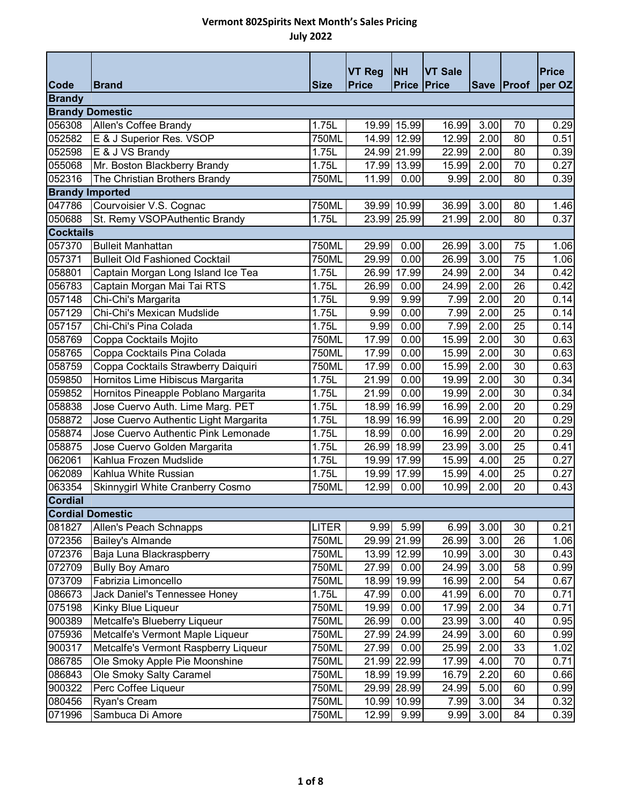|                         |                                       |              | <b>VT Reg</b> | <b>NH</b>          | <b>VT Sale</b> |      |            | <b>Price</b> |
|-------------------------|---------------------------------------|--------------|---------------|--------------------|----------------|------|------------|--------------|
| Code                    | <b>Brand</b>                          | <b>Size</b>  | <b>Price</b>  | <b>Price Price</b> |                |      | Save Proof | per OZ       |
| <b>Brandy</b>           |                                       |              |               |                    |                |      |            |              |
| <b>Brandy Domestic</b>  |                                       |              |               |                    |                |      |            |              |
| 056308                  | Allen's Coffee Brandy                 | 1.75L        | 19.99         | 15.99              | 16.99          | 3.00 | 70         | 0.29         |
| 052582                  | E & J Superior Res. VSOP              | 750ML        | 14.99         | 12.99              | 12.99          | 2.00 | 80         | 0.51         |
| 052598                  | E & J VS Brandy                       | 1.75L        |               | 24.99 21.99        | 22.99          | 2.00 | 80         | 0.39         |
| 055068                  | Mr. Boston Blackberry Brandy          | 1.75L        | 17.99         | 13.99              | 15.99          | 2.00 | 70         | 0.27         |
| 052316                  | The Christian Brothers Brandy         | 750ML        | 11.99         | 0.00               | 9.99           | 2.00 | 80         | 0.39         |
| <b>Brandy Imported</b>  |                                       |              |               |                    |                |      |            |              |
| 047786                  | Courvoisier V.S. Cognac               | 750ML        |               | 39.99 10.99        | 36.99          | 3.00 | 80         | 1.46         |
| 050688                  | St. Remy VSOPAuthentic Brandy         | 1.75L        |               | 23.99 25.99        | 21.99          | 2.00 | 80         | 0.37         |
| <b>Cocktails</b>        |                                       |              |               |                    |                |      |            |              |
| 057370                  | <b>Bulleit Manhattan</b>              | 750ML        | 29.99         | 0.00               | 26.99          | 3.00 | 75         | 1.06         |
| 057371                  | <b>Bulleit Old Fashioned Cocktail</b> | 750ML        | 29.99         | 0.00               | 26.99          | 3.00 | 75         | 1.06         |
| 058801                  | Captain Morgan Long Island Ice Tea    | 1.75L        | 26.99         | 17.99              | 24.99          | 2.00 | 34         | 0.42         |
| 056783                  | Captain Morgan Mai Tai RTS            | 1.75L        | 26.99         | 0.00               | 24.99          | 2.00 | 26         | 0.42         |
| 057148                  | Chi-Chi's Margarita                   | 1.75L        | 9.99          | 9.99               | 7.99           | 2.00 | 20         | 0.14         |
| 057129                  | Chi-Chi's Mexican Mudslide            | 1.75L        | 9.99          | 0.00               | 7.99           | 2.00 | 25         | 0.14         |
| 057157                  | Chi-Chi's Pina Colada                 | 1.75L        | 9.99          | 0.00               | 7.99           | 2.00 | 25         | 0.14         |
| 058769                  | Coppa Cocktails Mojito                | 750ML        | 17.99         | 0.00               | 15.99          | 2.00 | 30         | 0.63         |
| 058765                  | Coppa Cocktails Pina Colada           | 750ML        | 17.99         | 0.00               | 15.99          | 2.00 | 30         | 0.63         |
| 058759                  | Coppa Cocktails Strawberry Daiquiri   | 750ML        | 17.99         | 0.00               | 15.99          | 2.00 | 30         | 0.63         |
| 059850                  | Hornitos Lime Hibiscus Margarita      | 1.75L        | 21.99         | 0.00               | 19.99          | 2.00 | 30         | 0.34         |
| 059852                  | Hornitos Pineapple Poblano Margarita  | 1.75L        | 21.99         | 0.00               | 19.99          | 2.00 | 30         | 0.34         |
| 058838                  | Jose Cuervo Auth. Lime Marg. PET      | 1.75L        | 18.99         | 16.99              | 16.99          | 2.00 | 20         | 0.29         |
| 058872                  | Jose Cuervo Authentic Light Margarita | 1.75L        | 18.99         | 16.99              | 16.99          | 2.00 | 20         | 0.29         |
| 058874                  | Jose Cuervo Authentic Pink Lemonade   | 1.75L        | 18.99         | 0.00               | 16.99          | 2.00 | 20         | 0.29         |
| 058875                  | Jose Cuervo Golden Margarita          | 1.75L        | 26.99         | 18.99              | 23.99          | 3.00 | 25         | 0.41         |
| 062061                  | Kahlua Frozen Mudslide                | 1.75L        | 19.99         | 17.99              | 15.99          | 4.00 | 25         | 0.27         |
| 062089                  | Kahlua White Russian                  | 1.75L        | 19.99         | 17.99              | 15.99          | 4.00 | 25         | 0.27         |
| 063354                  | Skinnygirl White Cranberry Cosmo      | 750ML        | 12.99         | 0.00               | 10.99          | 2.00 | 20         | 0.43         |
| <b>Cordial</b>          |                                       |              |               |                    |                |      |            |              |
| <b>Cordial Domestic</b> |                                       |              |               |                    |                |      |            |              |
| 081827                  | Allen's Peach Schnapps                | <b>LITER</b> | 9.99          | 5.99               | 6.99           | 3.00 | 30         | 0.21         |
| 072356                  | <b>Bailey's Almande</b>               | 750ML        |               | 29.99 21.99        | 26.99          | 3.00 | 26         | 1.06         |
| 072376                  | Baja Luna Blackraspberry              | 750ML        | 13.99         | 12.99              | 10.99          | 3.00 | 30         | 0.43         |
| 072709                  | <b>Bully Boy Amaro</b>                | 750ML        | 27.99         | 0.00               | 24.99          | 3.00 | 58         | 0.99         |
| 073709                  | Fabrizia Limoncello                   | 750ML        | 18.99         | 19.99              | 16.99          | 2.00 | 54         | 0.67         |
| 086673                  | Jack Daniel's Tennessee Honey         | 1.75L        | 47.99         | 0.00               | 41.99          | 6.00 | 70         | 0.71         |
| 075198                  | Kinky Blue Liqueur                    | 750ML        | 19.99         | 0.00               | 17.99          | 2.00 | 34         | 0.71         |
| 900389                  | Metcalfe's Blueberry Liqueur          | 750ML        | 26.99         | 0.00               | 23.99          | 3.00 | 40         | 0.95         |
| 075936                  | Metcalfe's Vermont Maple Liqueur      | 750ML        |               | 27.99 24.99        | 24.99          | 3.00 | 60         | 0.99         |
| 900317                  | Metcalfe's Vermont Raspberry Liqueur  | 750ML        | 27.99         | 0.00               | 25.99          | 2.00 | 33         | 1.02         |
| 086785                  | Ole Smoky Apple Pie Moonshine         | 750ML        |               | 21.99 22.99        | 17.99          | 4.00 | 70         | 0.71         |
| 086843                  | Ole Smoky Salty Caramel               | 750ML        | 18.99         | 19.99              | 16.79          | 2.20 | 60         | 0.66         |
| 900322                  | Perc Coffee Liqueur                   | 750ML        |               | 29.99 28.99        | 24.99          | 5.00 | 60         | 0.99         |
| 080456                  | Ryan's Cream                          | 750ML        |               | 10.99 10.99        | 7.99           | 3.00 | 34         | 0.32         |
| 071996                  | Sambuca Di Amore                      | 750ML        | 12.99         | 9.99               | 9.99           | 3.00 | 84         | 0.39         |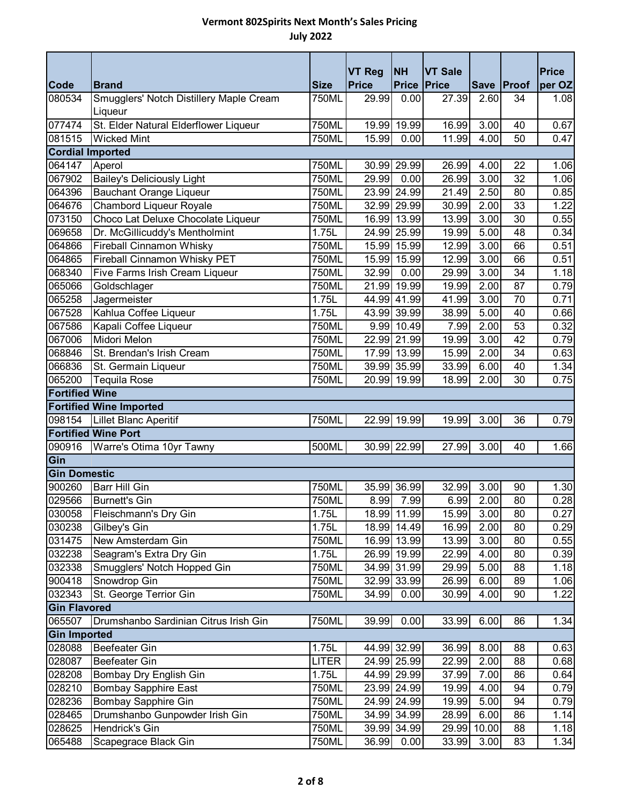|                         |                                                    |             | <b>VT Reg</b> | <b>NH</b>          | <b>VT Sale</b> |       |                 | <b>Price</b> |
|-------------------------|----------------------------------------------------|-------------|---------------|--------------------|----------------|-------|-----------------|--------------|
| <b>Code</b>             | <b>Brand</b>                                       | <b>Size</b> | <b>Price</b>  | <b>Price Price</b> |                |       | Save Proof      | per OZ       |
| 080534                  | Smugglers' Notch Distillery Maple Cream<br>Liqueur | 750ML       | 29.99         | 0.00               | 27.39          | 2.60  | 34              | 1.08         |
| 077474                  | St. Elder Natural Elderflower Liqueur              | 750ML       | 19.99         | 19.99              | 16.99          | 3.00  | 40              | 0.67         |
| 081515                  | <b>Wicked Mint</b>                                 | 750ML       | 15.99         | 0.00               | 11.99          | 4.00  | 50              | 0.47         |
| <b>Cordial Imported</b> |                                                    |             |               |                    |                |       |                 |              |
| 064147                  | Aperol                                             | 750ML       |               | 30.99 29.99        | 26.99          | 4.00  | 22              | 1.06         |
| 067902                  | <b>Bailey's Deliciously Light</b>                  | 750ML       | 29.99         | 0.00               | 26.99          | 3.00  | $\overline{32}$ | 1.06         |
| 064396                  | <b>Bauchant Orange Liqueur</b>                     | 750ML       |               | 23.99 24.99        | 21.49          | 2.50  | 80              | 0.85         |
| 064676                  | <b>Chambord Liqueur Royale</b>                     | 750ML       |               | 32.99 29.99        | 30.99          | 2.00  | 33              | 1.22         |
| 073150                  | Choco Lat Deluxe Chocolate Liqueur                 | 750ML       |               | 16.99 13.99        | 13.99          | 3.00  | 30              | 0.55         |
| 069658                  | Dr. McGillicuddy's Mentholmint                     | 1.75L       |               | 24.99 25.99        | 19.99          | 5.00  | 48              | 0.34         |
| 064866                  | <b>Fireball Cinnamon Whisky</b>                    | 750ML       |               | 15.99 15.99        | 12.99          | 3.00  | 66              | 0.51         |
| 064865                  | <b>Fireball Cinnamon Whisky PET</b>                | 750ML       |               | 15.99 15.99        | 12.99          | 3.00  | 66              | 0.51         |
| 068340                  | Five Farms Irish Cream Liqueur                     | 750ML       | 32.99         | 0.00               | 29.99          | 3.00  | 34              | 1.18         |
| 065066                  | Goldschlager                                       | 750ML       |               | 21.99 19.99        | 19.99          | 2.00  | 87              | 0.79         |
| 065258                  | Jagermeister                                       | 1.75L       |               | 44.99 41.99        | 41.99          | 3.00  | 70              | 0.71         |
| 067528                  | Kahlua Coffee Liqueur                              | 1.75L       |               | 43.99 39.99        | 38.99          | 5.00  | 40              | 0.66         |
| 067586                  | Kapali Coffee Liqueur                              | 750ML       |               | 9.99 10.49         | 7.99           | 2.00  | 53              | 0.32         |
| 067006                  | <b>Midori Melon</b>                                | 750ML       |               | 22.99 21.99        | 19.99          | 3.00  | 42              | 0.79         |
| 068846                  | St. Brendan's Irish Cream                          | 750ML       |               | 17.99 13.99        | 15.99          | 2.00  | 34              | 0.63         |
| 066836                  | St. Germain Liqueur                                | 750ML       |               | 39.99 35.99        | 33.99          | 6.00  | 40              | 1.34         |
| 065200                  | <b>Tequila Rose</b>                                | 750ML       |               | 20.99 19.99        | 18.99          | 2.00  | 30              | 0.75         |
| <b>Fortified Wine</b>   |                                                    |             |               |                    |                |       |                 |              |
|                         | <b>Fortified Wine Imported</b>                     |             |               |                    |                |       |                 |              |
| 098154                  | Lillet Blanc Aperitif                              | 750ML       |               | 22.99 19.99        | 19.99          | 3.00  | 36              | 0.79         |
|                         | <b>Fortified Wine Port</b>                         |             |               |                    |                |       |                 |              |
| 090916                  | Warre's Otima 10yr Tawny                           | 500ML       |               | 30.99 22.99        | 27.99          | 3.00  | 40              | 1.66         |
| Gin                     |                                                    |             |               |                    |                |       |                 |              |
| <b>Gin Domestic</b>     |                                                    |             |               |                    |                |       |                 |              |
| 900260                  | Barr Hill Gin                                      | 750ML       |               | 35.99 36.99        | 32.99          | 3.00  | 90              | 1.30         |
| 029566                  | <b>Burnett's Gin</b>                               | 750ML       | 8.99          | 7.99               | 6.99           | 2.00  | 80              | 0.28         |
| 030058                  | Fleischmann's Dry Gin                              | 1.75L       |               | 18.99 11.99        | 15.99          | 3.00  | 80              | 0.27         |
| 030238                  | Gilbey's Gin                                       | 1.75L       |               | 18.99 14.49        | 16.99          | 2.00  | 80              | 0.29         |
| 031475                  | New Amsterdam Gin                                  | 750ML       |               | 16.99 13.99        | 13.99          | 3.00  | 80              | 0.55         |
| 032238                  | Seagram's Extra Dry Gin                            | 1.75L       |               | 26.99 19.99        | 22.99          | 4.00  | 80              | 0.39         |
| 032338                  | Smugglers' Notch Hopped Gin                        | 750ML       |               | 34.99 31.99        | 29.99          | 5.00  | 88              | 1.18         |
| 900418                  | Snowdrop Gin                                       | 750ML       |               | 32.99 33.99        | 26.99          | 6.00  | 89              | 1.06         |
| 032343                  | St. George Terrior Gin                             | 750ML       | 34.99         | 0.00               | 30.99          | 4.00  | 90              | 1.22         |
| <b>Gin Flavored</b>     |                                                    |             |               |                    |                |       |                 |              |
| 065507                  | Drumshanbo Sardinian Citrus Irish Gin              | 750ML       | 39.99         | 0.00               | 33.99          | 6.00  | 86              | 1.34         |
| <b>Gin Imported</b>     |                                                    |             |               |                    |                |       |                 |              |
| 028088                  | <b>Beefeater Gin</b>                               | 1.75L       |               | 44.99 32.99        | 36.99          | 8.00  | 88              | 0.63         |
| 028087                  | <b>Beefeater Gin</b>                               | LITER       |               | 24.99 25.99        | 22.99          | 2.00  | 88              | 0.68         |
| 028208                  | Bombay Dry English Gin                             | 1.75L       |               | 44.99 29.99        | 37.99          | 7.00  | 86              | 0.64         |
| 028210                  | <b>Bombay Sapphire East</b>                        | 750ML       |               | 23.99 24.99        | 19.99          | 4.00  | 94              | 0.79         |
| 028236                  | <b>Bombay Sapphire Gin</b>                         | 750ML       |               | 24.99 24.99        | 19.99          | 5.00  | 94              | 0.79         |
| 028465                  | Drumshanbo Gunpowder Irish Gin                     | 750ML       |               | 34.99 34.99        | 28.99          | 6.00  | 86              | 1.14         |
| 028625                  | Hendrick's Gin                                     | 750ML       |               | 39.99 34.99        | 29.99          | 10.00 | 88              | 1.18         |
| 065488                  | Scapegrace Black Gin                               | 750ML       | 36.99         | 0.00               | 33.99          | 3.00  | 83              | 1.34         |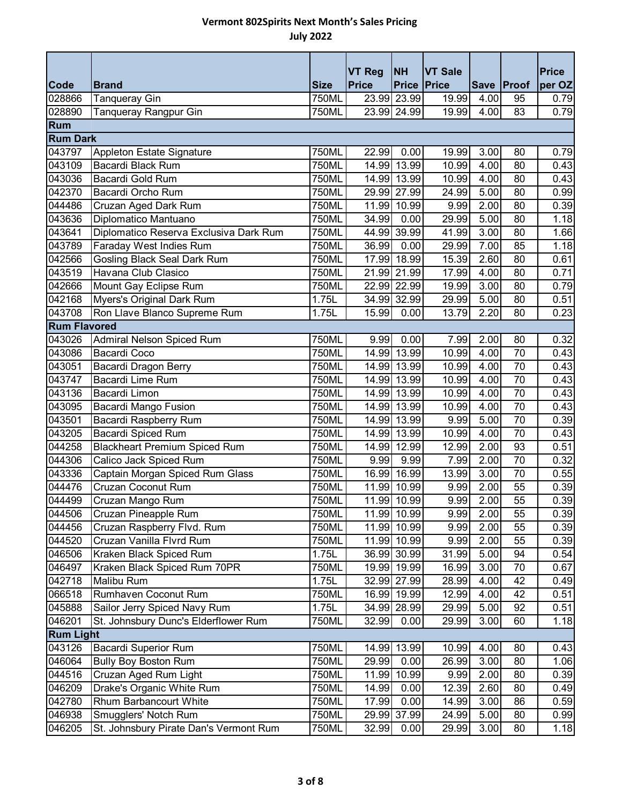|                       |                                                |                      | <b>VT Reg</b> | <b>NH</b>                         | <b>VT Sale</b> |              |                  | <b>Price</b> |
|-----------------------|------------------------------------------------|----------------------|---------------|-----------------------------------|----------------|--------------|------------------|--------------|
| <b>Code</b><br>028866 | <b>Brand</b>                                   | <b>Size</b><br>750ML | <b>Price</b>  | <b>Price Price</b><br>23.99 23.99 | 19.99          | 4.00         | Save Proof<br>95 | per OZ       |
| 028890                | Tanqueray Gin                                  | 750ML                |               | 23.99 24.99                       | 19.99          | 4.00         | 83               | 0.79         |
| Rum                   | Tanqueray Rangpur Gin                          |                      |               |                                   |                |              |                  | 0.79         |
| <b>Rum Dark</b>       |                                                |                      |               |                                   |                |              |                  |              |
|                       |                                                |                      |               |                                   |                |              |                  |              |
| 043797                | Appleton Estate Signature<br>Bacardi Black Rum | 750ML                | 22.99         | 0.00                              | 19.99<br>10.99 | 3.00<br>4.00 | 80<br>80         | 0.79         |
| 043109                |                                                | 750ML                |               | 14.99 13.99                       |                |              |                  | 0.43         |
| 043036                | Bacardi Gold Rum                               | 750ML                |               | 14.99 13.99                       | 10.99          | 4.00         | 80               | 0.43         |
| 042370                | Bacardi Orcho Rum                              | 750ML                |               | 29.99 27.99                       | 24.99          | 5.00         | 80               | 0.99         |
| 044486                | Cruzan Aged Dark Rum                           | 750ML                |               | 11.99 10.99                       | 9.99           | 2.00         | 80               | 0.39         |
| 043636                | Diplomatico Mantuano                           | 750ML                | 34.99         | 0.00                              | 29.99          | 5.00         | 80               | 1.18         |
| 043641                | Diplomatico Reserva Exclusiva Dark Rum         | 750ML                |               | 44.99 39.99                       | 41.99          | 3.00         | 80               | 1.66         |
| 043789                | Faraday West Indies Rum                        | 750ML                | 36.99         | 0.00                              | 29.99          | 7.00         | 85               | 1.18         |
| 042566                | <b>Gosling Black Seal Dark Rum</b>             | 750ML                |               | 17.99 18.99                       | 15.39          | 2.60         | 80               | 0.61         |
| 043519                | Havana Club Clasico                            | 750ML                |               | 21.99 21.99                       | 17.99          | 4.00         | 80               | 0.71         |
| 042666                | Mount Gay Eclipse Rum                          | 750ML                |               | 22.99 22.99                       | 19.99          | 3.00         | 80               | 0.79         |
| 042168                | Myers's Original Dark Rum                      | 1.75L                |               | 34.99 32.99                       | 29.99          | 5.00         | 80               | 0.51         |
| 043708                | Ron Llave Blanco Supreme Rum                   | 1.75L                | 15.99         | 0.00                              | 13.79          | 2.20         | 80               | 0.23         |
| <b>Rum Flavored</b>   |                                                |                      |               |                                   |                |              |                  |              |
| 043026                | Admiral Nelson Spiced Rum                      | 750ML                | 9.99          | 0.00                              | 7.99           | 2.00         | 80               | 0.32         |
| 043086                | Bacardi Coco                                   | 750ML                |               | 14.99 13.99                       | 10.99          | 4.00         | 70               | 0.43         |
| 043051                | Bacardi Dragon Berry                           | 750ML                |               | 14.99 13.99                       | 10.99          | 4.00         | 70               | 0.43         |
| 043747                | <b>Bacardi Lime Rum</b>                        | 750ML                |               | 14.99 13.99                       | 10.99          | 4.00         | 70               | 0.43         |
| 043136                | Bacardi Limon                                  | 750ML                |               | 14.99 13.99                       | 10.99          | 4.00         | 70               | 0.43         |
| 043095                | Bacardi Mango Fusion                           | 750ML                |               | 14.99 13.99                       | 10.99          | 4.00         | 70               | 0.43         |
| 043501                | <b>Bacardi Raspberry Rum</b>                   | 750ML                |               | 14.99 13.99                       | 9.99           | 5.00         | 70               | 0.39         |
| 043205                | <b>Bacardi Spiced Rum</b>                      | 750ML                |               | 14.99 13.99                       | 10.99          | 4.00         | 70               | 0.43         |
| 044258                | <b>Blackheart Premium Spiced Rum</b>           | 750ML                |               | 14.99 12.99                       | 12.99          | 2.00         | 93               | 0.51         |
| 044306                | Calico Jack Spiced Rum                         | 750ML                | 9.99          | 9.99                              | 7.99           | 2.00         | 70               | 0.32         |
| 043336                | Captain Morgan Spiced Rum Glass                | 750ML                |               | 16.99 16.99                       | 13.99          | 3.00         | 70               | 0.55         |
| 044476                | Cruzan Coconut Rum                             | 750ML                |               | 11.99 10.99                       | 9.99           | 2.00         | 55               | 0.39         |
| 044499                | Cruzan Mango Rum                               | 750ML                |               | 11.99 10.99                       | 9.99           | 2.00         | 55               | 0.39         |
| 044506                | Cruzan Pineapple Rum                           | 750ML                |               | 11.99 10.99                       | 9.99           | 2.00         | 55               | 0.39         |
| 044456                | Cruzan Raspberry Flvd. Rum                     | 750ML                |               | 11.99 10.99                       | 9.99           | 2.00         | 55               | 0.39         |
| 044520                | Cruzan Vanilla Flvrd Rum                       | 750ML                |               | 11.99 10.99                       | 9.99           | 2.00         | 55               | 0.39         |
| 046506                | Kraken Black Spiced Rum                        | 1.75L                |               | 36.99 30.99                       | 31.99          | 5.00         | 94               | 0.54         |
| 046497                | Kraken Black Spiced Rum 70PR                   | 750ML                |               | 19.99 19.99                       | 16.99          | 3.00         | 70               | 0.67         |
| 042718                | Malibu Rum                                     | 1.75L                |               | 32.99 27.99                       | 28.99          | 4.00         | 42               | 0.49         |
| 066518                | Rumhaven Coconut Rum                           | 750ML                |               | 16.99 19.99                       | 12.99          | 4.00         | 42               | 0.51         |
| 045888                | Sailor Jerry Spiced Navy Rum                   | 1.75L                |               | 34.99 28.99                       | 29.99          | 5.00         | 92               | 0.51         |
| 046201                | St. Johnsbury Dunc's Elderflower Rum           | 750ML                | 32.99         | 0.00                              | 29.99          | 3.00         | 60               | 1.18         |
| <b>Rum Light</b>      |                                                |                      |               |                                   |                |              |                  |              |
| 043126                | <b>Bacardi Superior Rum</b>                    | 750ML                |               | 14.99 13.99                       | 10.99          | 4.00         | 80               | 0.43         |
| 046064                | <b>Bully Boy Boston Rum</b>                    | 750ML                | 29.99         | 0.00                              | 26.99          | 3.00         | 80               | 1.06         |
| 044516                | Cruzan Aged Rum Light                          | 750ML                | 11.99         | 10.99                             | 9.99           | 2.00         | 80               | 0.39         |
| 046209                | Drake's Organic White Rum                      | 750ML                | 14.99         | 0.00                              | 12.39          | 2.60         | 80               | 0.49         |
| 042780                | Rhum Barbancourt White                         | 750ML                | 17.99         | 0.00                              | 14.99          | 3.00         | 86               | 0.59         |
| 046938                | Smugglers' Notch Rum                           | 750ML                |               | 29.99 37.99                       | 24.99          | 5.00         | 80               | 0.99         |
| 046205                | St. Johnsbury Pirate Dan's Vermont Rum         | 750ML                | 32.99         | 0.00                              | 29.99          | 3.00         | 80               | 1.18         |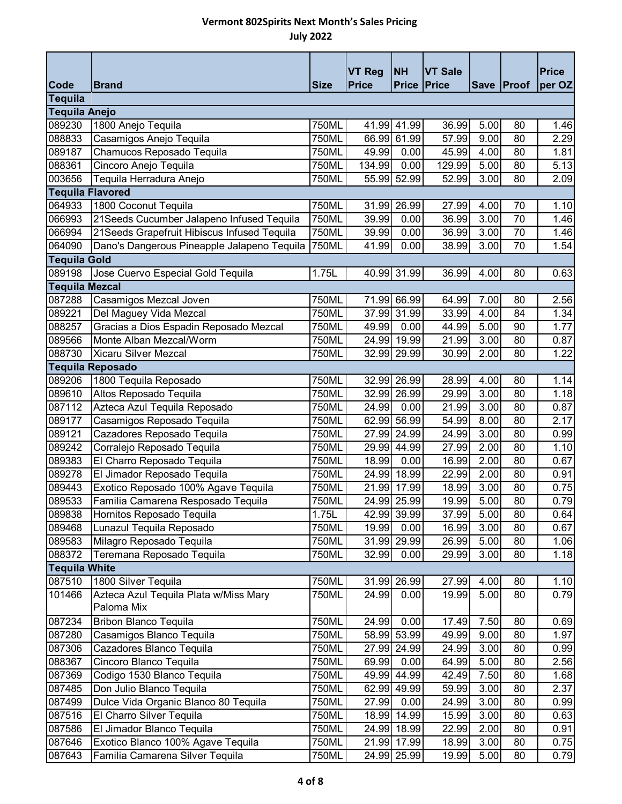|                               |                                                      |                | <b>VT Reg</b> | <b>NH</b>            | <b>VT Sale</b> |                   |          | <b>Price</b> |
|-------------------------------|------------------------------------------------------|----------------|---------------|----------------------|----------------|-------------------|----------|--------------|
| Code                          | <b>Brand</b>                                         | <b>Size</b>    | <b>Price</b>  | <b>Price Price</b>   |                | Save Proof        |          | per OZ       |
| <b>Tequila</b>                |                                                      |                |               |                      |                |                   |          |              |
| <b>Tequila Anejo</b>          |                                                      |                |               |                      |                |                   |          |              |
| 089230<br>088833              | 1800 Anejo Tequila                                   | 750ML          | 41.99         | 41.99<br>66.99 61.99 | 36.99          | 5.00              | 80       | 1.46         |
| 089187                        | Casamigos Anejo Tequila<br>Chamucos Reposado Tequila | 750ML<br>750ML | 49.99         | 0.00                 | 57.99<br>45.99 | 9.00<br>4.00      | 80<br>80 | 2.29         |
| 088361                        | Cincoro Anejo Tequila                                | 750ML          | 134.99        | 0.00                 | 129.99         | 5.00              | 80       | 1.81<br>5.13 |
| 003656                        | Tequila Herradura Anejo                              | 750ML          |               | 55.99 52.99          | 52.99          | 3.00              | 80       | 2.09         |
| <b>Tequila Flavored</b>       |                                                      |                |               |                      |                |                   |          |              |
| 064933                        | 1800 Coconut Tequila                                 | 750ML          |               | 31.99 26.99          | 27.99          | 4.00              | 70       | 1.10         |
| 066993                        | 21 Seeds Cucumber Jalapeno Infused Tequila           | 750ML          | 39.99         | 0.00                 | 36.99          | 3.00              | 70       | 1.46         |
| 066994                        | 21 Seeds Grapefruit Hibiscus Infused Tequila         | 750ML          | 39.99         | 0.00                 | 36.99          | 3.00              | 70       |              |
| 064090                        | Dano's Dangerous Pineapple Jalapeno Tequila          | 750ML          | 41.99         | 0.00                 | 38.99          | 3.00              | 70       | 1.46<br>1.54 |
|                               |                                                      |                |               |                      |                |                   |          |              |
| <b>Tequila Gold</b><br>089198 |                                                      | 1.75L          |               | 40.99 31.99          | 36.99          | 4.00              | 80       |              |
| <b>Tequila Mezcal</b>         | Jose Cuervo Especial Gold Tequila                    |                |               |                      |                |                   |          | 0.63         |
| 087288                        | Casamigos Mezcal Joven                               | 750ML          |               | 71.99 66.99          | 64.99          | 7.00              | 80       | 2.56         |
| 089221                        | Del Maguey Vida Mezcal                               | 750ML          |               | 37.99 31.99          | 33.99          | 4.00              | 84       | 1.34         |
| 088257                        | Gracias a Dios Espadin Reposado Mezcal               | 750ML          | 49.99         | 0.00                 | 44.99          | 5.00              | 90       | 1.77         |
| 089566                        | Monte Alban Mezcal/Worm                              | 750ML          |               | 24.99 19.99          | 21.99          | 3.00              | 80       | 0.87         |
| 088730                        | <b>Xicaru Silver Mezcal</b>                          | 750ML          |               | 32.99 29.99          | 30.99          | 2.00              | 80       | 1.22         |
|                               | <b>Tequila Reposado</b>                              |                |               |                      |                |                   |          |              |
| 089206                        | 1800 Tequila Reposado                                | 750ML          |               | 32.99 26.99          | 28.99          | 4.00              | 80       | 1.14         |
| 089610                        | Altos Reposado Tequila                               | 750ML          |               | 32.99 26.99          | 29.99          | 3.00              | 80       | 1.18         |
| 087112                        | Azteca Azul Tequila Reposado                         | 750ML          | 24.99         | 0.00                 | 21.99          | 3.00              | 80       | 0.87         |
| 089177                        | Casamigos Reposado Tequila                           | 750ML          |               | 62.99 56.99          | 54.99          | 8.00              | 80       | 2.17         |
| 089121                        | Cazadores Reposado Tequila                           | 750ML          |               | 27.99 24.99          | 24.99          | 3.00              | 80       | 0.99         |
| 089242                        | Corralejo Reposado Tequila                           | 750ML          |               | 29.99 44.99          | 27.99          | 2.00              | 80       | 1.10         |
| 089383                        | El Charro Reposado Tequila                           | 750ML          | 18.99         | 0.00                 | 16.99          | 2.00              | 80       | 0.67         |
| 089278                        | El Jimador Reposado Tequila                          | 750ML          |               | 24.99 18.99          | 22.99          | 2.00              | 80       | 0.91         |
| 089443                        | Exotico Reposado 100% Agave Tequila                  | 750ML          |               | 21.99 17.99          | 18.99          | 3.00              | 80       | 0.75         |
| 089533                        | Familia Camarena Resposado Tequila                   | 750ML          |               | 24.99 25.99          | 19.99          | $\overline{5.00}$ | 80       | 0.79         |
| 089838                        | Hornitos Reposado Tequila                            | 1.75L          |               | 42.99 39.99          | 37.99          | 5.00              | 80       | 0.64         |
| 089468                        | Lunazul Tequila Reposado                             | 750ML          | 19.99         | 0.00                 | 16.99          | 3.00              | 80       | 0.67         |
| 089583                        | Milagro Reposado Tequila                             | 750ML          |               | 31.99 29.99          | 26.99          | 5.00              | 80       | 1.06         |
| 088372                        | Teremana Reposado Tequila                            | 750ML          | 32.99         | 0.00                 | 29.99          | 3.00              | 80       | 1.18         |
| <b>Tequila White</b>          |                                                      |                |               |                      |                |                   |          |              |
| 087510                        | 1800 Silver Tequila                                  | 750ML          |               | 31.99 26.99          | 27.99          | 4.00              | 80       | 1.10         |
| 101466                        | Azteca Azul Tequila Plata w/Miss Mary                | 750ML          | 24.99         | 0.00                 | 19.99          | 5.00              | 80       | 0.79         |
|                               | Paloma Mix                                           |                |               |                      |                |                   |          |              |
| 087234                        | <b>Bribon Blanco Tequila</b>                         | 750ML          | 24.99         | 0.00                 | 17.49          | 7.50              | 80       | 0.69         |
| 087280                        | Casamigos Blanco Tequila                             | 750ML          |               | 58.99 53.99          | 49.99          | 9.00              | 80       | 1.97         |
| 087306                        | Cazadores Blanco Tequila                             | 750ML          |               | 27.99 24.99          | 24.99          | 3.00              | 80       | 0.99         |
| 088367                        | Cincoro Blanco Tequila                               | 750ML          | 69.99         | 0.00                 | 64.99          | 5.00              | 80       | 2.56         |
| 087369                        | Codigo 1530 Blanco Tequila                           | 750ML          |               | 49.99 44.99          | 42.49          | 7.50              | 80       | 1.68         |
| 087485                        | Don Julio Blanco Tequila                             | 750ML          |               | 62.99 49.99          | 59.99          | 3.00              | 80       | 2.37         |
| 087499                        | Dulce Vida Organic Blanco 80 Tequila                 | 750ML          | 27.99         | 0.00                 | 24.99          | 3.00              | 80       | 0.99         |
| 087516                        | El Charro Silver Tequila                             | 750ML          | 18.99         | 14.99                | 15.99          | 3.00              | 80       | 0.63         |
| 087586                        | El Jimador Blanco Tequila                            | 750ML          |               | 24.99 18.99          | 22.99          | 2.00              | 80       | 0.91         |
| 087646                        | Exotico Blanco 100% Agave Tequila                    | 750ML          |               | 21.99 17.99          | 18.99          | 3.00              | 80       | 0.75         |
| 087643                        | Familia Camarena Silver Tequila                      | 750ML          |               | 24.99 25.99          | 19.99          | 5.00              | 80       | 0.79         |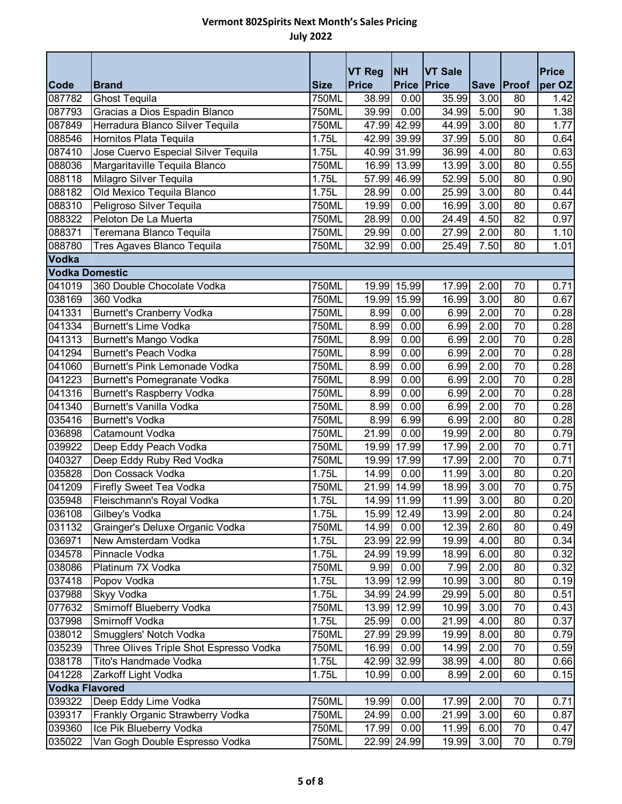|                       |                                         |                     | <b>VT Reg</b>      | <b>NH</b>                  | <b>VT Sale</b> |              |                 | <b>Price</b> |
|-----------------------|-----------------------------------------|---------------------|--------------------|----------------------------|----------------|--------------|-----------------|--------------|
| <b>Code</b>           | <b>Brand</b>                            | <b>Size</b>         | <b>Price</b>       | <b>Price</b>               | Price          | Save Proof   |                 | per OZ       |
| 087782                | <b>Ghost Tequila</b>                    | 750ML               | 38.99              | 0.00                       | 35.99          | 3.00         | 80              | 1.42         |
| 087793                | Gracias a Dios Espadin Blanco           | 750ML               | $\overline{39.99}$ | 0.00                       | 34.99          | 5.00         | 90              | 1.38         |
| 087849                | Herradura Blanco Silver Tequila         | 750ML               |                    | 47.99 42.99                | 44.99          | 3.00         | 80              | 1.77         |
| 088546                | Hornitos Plata Tequila                  | 1.75L               |                    | 42.99 39.99                | 37.99          | 5.00         | 80              | 0.64         |
| 087410                | Jose Cuervo Especial Silver Tequila     | 1.75L               |                    | 40.99 31.99                | 36.99          | 4.00         | 80              | 0.63         |
| 088036                | Margaritaville Tequila Blanco           | 750ML               |                    | 16.99 13.99<br>57.99 46.99 | 13.99          | 3.00<br>5.00 | 80<br>80        | 0.55         |
| 088118                | Milagro Silver Tequila                  | 1.75L               |                    |                            | 52.99          |              |                 | 0.90         |
| 088182                | Old Mexico Tequila Blanco               | 1.75L               | 28.99              | 0.00                       | 25.99          | 3.00         | 80              | 0.44         |
| 088310                | Peligroso Silver Tequila                | 750ML               | 19.99              | 0.00                       | 16.99          | 3.00         | 80              | 0.67         |
| 088322                | Peloton De La Muerta                    | 750ML               | 28.99              | 0.00                       | 24.49          | 4.50         | 82              | 0.97         |
| 088371                | Teremana Blanco Tequila                 | 750ML               | 29.99              | 0.00                       | 27.99          | 2.00         | 80              | 1.10         |
| 088780                | Tres Agaves Blanco Tequila              | 750ML               | 32.99              | 0.00                       | 25.49          | 7.50         | 80              | 1.01         |
| Vodka                 |                                         |                     |                    |                            |                |              |                 |              |
| <b>Vodka Domestic</b> |                                         |                     |                    |                            |                |              |                 |              |
| 041019                | 360 Double Chocolate Vodka              | 750ML               |                    | 19.99 15.99                | 17.99          | 2.00         | 70              | 0.71         |
| 038169                | 360 Vodka                               | 750ML               |                    | 19.99 15.99                | 16.99          | 3.00         | 80              | 0.67         |
| 041331                | <b>Burnett's Cranberry Vodka</b>        | 750ML               | 8.99               | 0.00                       | 6.99           | 2.00         | $\overline{70}$ | 0.28         |
| 041334                | Burnett's Lime Vodka                    | 750ML               | 8.99               | 0.00                       | 6.99           | 2.00         | $\overline{70}$ | 0.28         |
| 041313                | Burnett's Mango Vodka                   | 750ML               | 8.99               | 0.00                       | 6.99           | 2.00         | 70              | 0.28         |
| 041294                | <b>Burnett's Peach Vodka</b>            | 750ML               | 8.99               | 0.00                       | 6.99           | 2.00         | 70              | 0.28         |
| 041060                | Burnett's Pink Lemonade Vodka           | 750ML               | 8.99               | 0.00                       | 6.99           | 2.00         | 70              | 0.28         |
| 041223                | Burnett's Pomegranate Vodka             | 750ML               | 8.99               | 0.00                       | 6.99           | 2.00         | $\overline{70}$ | 0.28         |
| 041316                | <b>Burnett's Raspberry Vodka</b>        | 750ML               | 8.99               | 0.00                       | 6.99           | 2.00         | 70              | 0.28         |
| 041340                | <b>Burnett's Vanilla Vodka</b>          | 750ML               | 8.99               | 0.00                       | 6.99           | 2.00         | 70              | 0.28         |
| 035416                | <b>Burnett's Vodka</b>                  | 750ML               | 8.99               | 6.99                       | 6.99           | 2.00         | 80              | 0.28         |
| 036898                | Catamount Vodka                         | 750ML               | 21.99              | 0.00                       | 19.99          | 2.00         | 80              | 0.79         |
| 039922                | Deep Eddy Peach Vodka                   | 750ML               | 19.99              | 17.99                      | 17.99          | 2.00         | $\overline{70}$ | 0.71         |
| 040327                | Deep Eddy Ruby Red Vodka                | 750ML               |                    | 19.99 17.99                | 17.99          | 2.00         | 70              | 0.71         |
| 035828                | Don Cossack Vodka                       | 1.75L               | 14.99              | 0.00                       | 11.99          | 3.00         | 80              | 0.20         |
| 041209                | Firefly Sweet Tea Vodka                 | 750ML               |                    | 21.99 14.99                | 18.99          | 3.00         | 70              | 0.75         |
| 035948                | Fleischmann's Royal Vodka               | 1.75L               |                    | 14.99 11.99                | 11.99          | 3.00         | 80              | 0.20         |
| 036108                | Gilbey's Vodka                          | 1.75L               |                    | 15.99 12.49                | 13.99          | 2.00         | 80              | 0.24         |
| 031132                | Grainger's Deluxe Organic Vodka         | 750ML               | 14.99              | 0.00                       | 12.39          | 2.60         | 80              | 0.49         |
| 036971                | New Amsterdam Vodka                     | 1.75L               |                    | 23.99 22.99                | 19.99          | 4.00         | 80              | 0.34         |
| 034578                | Pinnacle Vodka                          | 1.75L               |                    | 24.99 19.99                | 18.99          | 6.00         | 80              | 0.32         |
| 038086                | Platinum 7X Vodka                       | 750ML               | 9.99               | 0.00                       | 7.99           | 2.00         | 80              | 0.32         |
| 037418                | Popov Vodka                             | $\overline{1}$ .75L |                    | 13.99 12.99                | 10.99          | 3.00         | 80              | 0.19         |
| 037988                | <b>Skyy Vodka</b>                       | 1.75L               |                    | 34.99 24.99                | 29.99          | 5.00         | 80              | 0.51         |
| 077632                | Smirnoff Blueberry Vodka                | 750ML               |                    | 13.99 12.99                | 10.99          | 3.00         | 70              | 0.43         |
| 037998                | Smirnoff Vodka                          | 1.75L               | 25.99              | 0.00                       | 21.99          | 4.00         | 80              | 0.37         |
| 038012                | Smugglers' Notch Vodka                  | 750ML               |                    | 27.99 29.99                | 19.99          | 8.00         | 80              | 0.79         |
| 035239                | Three Olives Triple Shot Espresso Vodka | 750ML               | 16.99              | 0.00                       | 14.99          | 2.00         | 70              | 0.59         |
| 038178                | Tito's Handmade Vodka                   | 1.75L               |                    | 42.99 32.99                | 38.99          | 4.00         | 80              | 0.66         |
| 041228                | Zarkoff Light Vodka                     | 1.75L               | 10.99              | 0.00                       | 8.99           | 2.00         | 60              | 0.15         |
| <b>Vodka Flavored</b> |                                         |                     |                    |                            |                |              |                 |              |
| 039322                | Deep Eddy Lime Vodka                    | 750ML               | 19.99              | 0.00                       | 17.99          | 2.00         | 70              | 0.71         |
| 039317                | Frankly Organic Strawberry Vodka        | 750ML               | 24.99              | 0.00                       | 21.99          | 3.00         | 60              | 0.87         |
| 039360                | Ice Pik Blueberry Vodka                 | 750ML               | 17.99              | 0.00                       | 11.99          | 6.00         | 70              | 0.47         |
| 035022                | Van Gogh Double Espresso Vodka          | 750ML               |                    | 22.99 24.99                | 19.99          | 3.00         | 70              | 0.79         |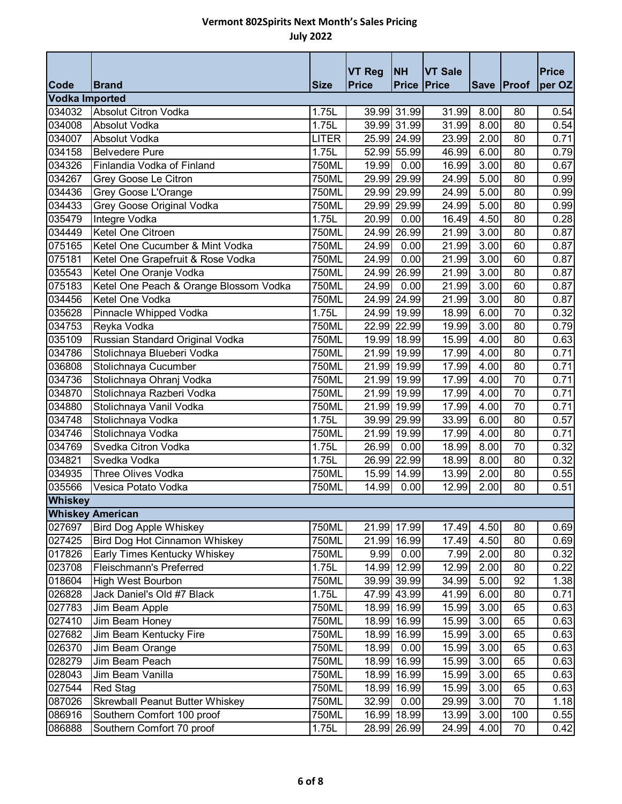|                       |                                        |              | <b>VT Reg</b> | <b>NH</b>          | <b>VT Sale</b> |            |                 | <b>Price</b> |
|-----------------------|----------------------------------------|--------------|---------------|--------------------|----------------|------------|-----------------|--------------|
| Code                  | <b>Brand</b>                           | <b>Size</b>  | <b>Price</b>  | <b>Price Price</b> |                | Save Proof |                 | per OZ       |
| <b>Vodka Imported</b> |                                        |              |               |                    |                |            |                 |              |
| 034032                | Absolut Citron Vodka                   | 1.75L        |               | 39.99 31.99        | 31.99          | 8.00       | 80              | 0.54         |
| 034008                | Absolut Vodka                          | 1.75L        |               | 39.99 31.99        | 31.99          | 8.00       | 80              | 0.54         |
| 034007                | Absolut Vodka                          | <b>LITER</b> |               | 25.99 24.99        | 23.99          | 2.00       | 80              | 0.71         |
| 034158                | <b>Belvedere Pure</b>                  | 1.75L        |               | 52.99 55.99        | 46.99          | 6.00       | 80              | 0.79         |
| 034326                | Finlandia Vodka of Finland             | 750ML        | 19.99         | 0.00               | 16.99          | 3.00       | 80              | 0.67         |
| 034267                | Grey Goose Le Citron                   | 750ML        |               | 29.99 29.99        | 24.99          | 5.00       | 80              | 0.99         |
| 034436                | Grey Goose L'Orange                    | 750ML        |               | 29.99 29.99        | 24.99          | 5.00       | 80              | 0.99         |
| 034433                | Grey Goose Original Vodka              | 750ML        |               | 29.99 29.99        | 24.99          | 5.00       | 80              | 0.99         |
| 035479                | Integre Vodka                          | 1.75L        | 20.99         | 0.00               | 16.49          | 4.50       | 80              | 0.28         |
| 034449                | Ketel One Citroen                      | 750ML        |               | 24.99 26.99        | 21.99          | 3.00       | 80              | 0.87         |
| 075165                | Ketel One Cucumber & Mint Vodka        | 750ML        | 24.99         | 0.00               | 21.99          | 3.00       | 60              | 0.87         |
| 075181                | Ketel One Grapefruit & Rose Vodka      | 750ML        | 24.99         | 0.00               | 21.99          | 3.00       | 60              | 0.87         |
| 035543                | Ketel One Oranje Vodka                 | 750ML        |               | 24.99 26.99        | 21.99          | 3.00       | 80              | 0.87         |
| 075183                | Ketel One Peach & Orange Blossom Vodka | 750ML        | 24.99         | 0.00               | 21.99          | 3.00       | 60              | 0.87         |
| 034456                | Ketel One Vodka                        | 750ML        |               | 24.99 24.99        | 21.99          | 3.00       | 80              | 0.87         |
| 035628                | Pinnacle Whipped Vodka                 | 1.75L        |               | 24.99 19.99        | 18.99          | 6.00       | $\overline{70}$ | 0.32         |
| 034753                | Reyka Vodka                            | 750ML        |               | 22.99 22.99        | 19.99          | 3.00       | 80              | 0.79         |
| 035109                | Russian Standard Original Vodka        | 750ML        |               | 19.99 18.99        | 15.99          | 4.00       | 80              | 0.63         |
| 034786                | Stolichnaya Blueberi Vodka             | 750ML        |               | 21.99 19.99        | 17.99          | 4.00       | 80              | 0.71         |
| 036808                | Stolichnaya Cucumber                   | 750ML        |               | 21.99 19.99        | 17.99          | 4.00       | 80              | 0.71         |
| 034736                | Stolichnaya Ohranj Vodka               | 750ML        |               | 21.99 19.99        | 17.99          | 4.00       | $\overline{70}$ | 0.71         |
| 034870                | Stolichnaya Razberi Vodka              | 750ML        |               | 21.99 19.99        | 17.99          | 4.00       | 70              | 0.71         |
| 034880                | Stolichnaya Vanil Vodka                | 750ML        |               | 21.99 19.99        | 17.99          | 4.00       | 70              | 0.71         |
| 034748                | Stolichnaya Vodka                      | 1.75L        |               | 39.99 29.99        | 33.99          | 6.00       | 80              | 0.57         |
| 034746                | Stolichnaya Vodka                      | 750ML        |               | 21.99 19.99        | 17.99          | 4.00       | 80              | 0.71         |
| 034769                | Svedka Citron Vodka                    | 1.75L        | 26.99         | 0.00               | 18.99          | 8.00       | $\overline{70}$ | 0.32         |
| 034821                | Svedka Vodka                           | 1.75L        |               | 26.99 22.99        | 18.99          | 8.00       | 80              | 0.32         |
| 034935                | <b>Three Olives Vodka</b>              | 750ML        |               | 15.99 14.99        | 13.99          | 2.00       | 80              | 0.55         |
| 035566                | Vesica Potato Vodka                    | 750ML        | 14.99         | 0.00               | 12.99          | 2.00       | 80              | 0.51         |
| <b>Whiskey</b>        |                                        |              |               |                    |                |            |                 |              |
|                       | <b>Whiskey American</b>                |              |               |                    |                |            |                 |              |
| 027697                | <b>Bird Dog Apple Whiskey</b>          | 750ML        |               | 21.99 17.99        | 17.49          | 4.50       | 80              | 0.69         |
| 027425                | Bird Dog Hot Cinnamon Whiskey          | 750ML        |               | 21.99 16.99        | 17.49          | 4.50       | 80              | 0.69         |
| 017826                | Early Times Kentucky Whiskey           | 750ML        | 9.99          | 0.00               | 7.99           | 2.00       | 80              | 0.32         |
| 023708                | Fleischmann's Preferred                | 1.75L        |               | 14.99 12.99        | 12.99          | 2.00       | 80              | 0.22         |
| 018604                | <b>High West Bourbon</b>               | 750ML        |               | 39.99 39.99        | 34.99          | 5.00       | 92              | 1.38         |
| 026828                | Jack Daniel's Old #7 Black             | 1.75L        |               | 47.99 43.99        | 41.99          | 6.00       | 80              | 0.71         |
| 027783                | Jim Beam Apple                         | 750ML        |               | 18.99 16.99        | 15.99          | 3.00       | 65              | 0.63         |
| 027410                | Jim Beam Honey                         | 750ML        |               | 18.99 16.99        | 15.99          | 3.00       | 65              | 0.63         |
| 027682                | Jim Beam Kentucky Fire                 | 750ML        |               | 18.99 16.99        | 15.99          | 3.00       | 65              | 0.63         |
| 026370                | Jim Beam Orange                        | 750ML        | 18.99         | 0.00               | 15.99          | 3.00       | 65              | 0.63         |
| 028279                | Jim Beam Peach                         | 750ML        | 18.99         | 16.99              | 15.99          | 3.00       | 65              | 0.63         |
| 028043                | Jim Beam Vanilla                       | 750ML        |               | 18.99 16.99        | 15.99          | 3.00       | 65              | 0.63         |
| 027544                | Red Stag                               | 750ML        |               | 18.99 16.99        | 15.99          | 3.00       | 65              | 0.63         |
| 087026                | <b>Skrewball Peanut Butter Whiskey</b> | 750ML        | 32.99         | 0.00               | 29.99          | 3.00       | 70              | 1.18         |
| 086916                | Southern Comfort 100 proof             | 750ML        |               | 16.99 18.99        | 13.99          | 3.00       | 100             | 0.55         |
| 086888                | Southern Comfort 70 proof              | 1.75L        |               | 28.99 26.99        | 24.99          | 4.00       | 70              | 0.42         |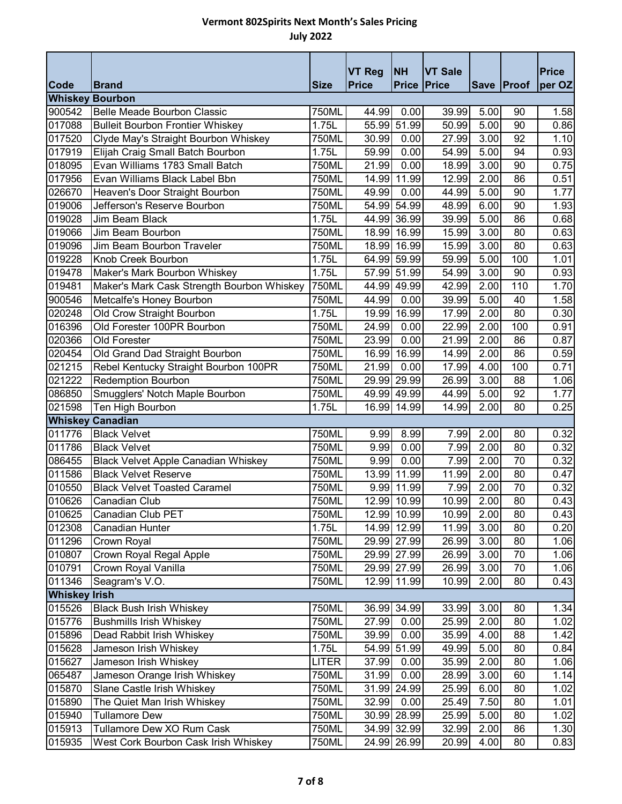| Code                 | <b>Brand</b>                                                               | <b>Size</b>  | <b>VT Reg</b><br><b>Price</b> | <b>NH</b><br><b>Price Price</b> | <b>VT Sale</b> | Save Proof   |           | <b>Price</b> |
|----------------------|----------------------------------------------------------------------------|--------------|-------------------------------|---------------------------------|----------------|--------------|-----------|--------------|
|                      |                                                                            |              |                               |                                 |                |              |           | per OZ       |
| 900542               | <b>Whiskey Bourbon</b><br>Belle Meade Bourbon Classic                      | 750ML        | 44.99                         | 0.00                            | 39.99          | 5.00         | 90        | 1.58         |
| 017088               | <b>Bulleit Bourbon Frontier Whiskey</b>                                    | 1.75L        |                               | 55.99 51.99                     | 50.99          | 5.00         | 90        | 0.86         |
| 017520               |                                                                            | 750ML        | 30.99                         | 0.00                            | 27.99          | 3.00         | 92        | 1.10         |
| 017919               | Clyde May's Straight Bourbon Whiskey<br>Elijah Craig Small Batch Bourbon   | 1.75L        | 59.99                         | 0.00                            | 54.99          | 5.00         | 94        |              |
| 018095               | Evan Williams 1783 Small Batch                                             | 750ML        | 21.99                         | 0.00                            | 18.99          | 3.00         | 90        | 0.93<br>0.75 |
| 017956               | Evan Williams Black Label Bbn                                              | 750ML        | 14.99                         | 11.99                           | 12.99          | 2.00         | 86        | 0.51         |
| 026670               | Heaven's Door Straight Bourbon                                             | 750ML        | 49.99                         | 0.00                            | 44.99          | 5.00         | 90        | 1.77         |
| 019006               | Jefferson's Reserve Bourbon                                                | 750ML        |                               | 54.99 54.99                     | 48.99          | 6.00         | 90        | 1.93         |
| 019028               | Jim Beam Black                                                             | 1.75L        |                               | 44.99 36.99                     | 39.99          | 5.00         | 86        | 0.68         |
| 019066               | Jim Beam Bourbon                                                           | 750ML        |                               | 18.99 16.99                     | 15.99          | 3.00         | 80        | 0.63         |
| 019096               | Jim Beam Bourbon Traveler                                                  | 750ML        |                               | 18.99 16.99                     | 15.99          | 3.00         | 80        | 0.63         |
| 019228               | Knob Creek Bourbon                                                         | 1.75L        |                               | 64.99 59.99                     | 59.99          | 5.00         | 100       | 1.01         |
| 019478               |                                                                            | 1.75L        |                               | 57.99 51.99                     | 54.99          | 3.00         | 90        | 0.93         |
| 019481               | Maker's Mark Bourbon Whiskey<br>Maker's Mark Cask Strength Bourbon Whiskey | 750ML        |                               | 44.99 49.99                     | 42.99          | 2.00         | 110       | 1.70         |
| 900546               |                                                                            |              | 44.99                         |                                 |                | 5.00         | 40        |              |
|                      | Metcalfe's Honey Bourbon                                                   | 750ML        |                               | 0.00                            | 39.99          |              |           | 1.58         |
| 020248<br>016396     | Old Crow Straight Bourbon<br>Old Forester 100PR Bourbon                    | 1.75L        | 19.99                         | 16.99                           | 17.99          | 2.00<br>2.00 | 80<br>100 | 0.30         |
|                      |                                                                            | 750ML        | 24.99                         | 0.00                            | 22.99          |              |           | 0.91         |
| 020366               | Old Forester                                                               | 750ML        | 23.99                         | 0.00                            | 21.99          | 2.00         | 86        | 0.87         |
| 020454               | Old Grand Dad Straight Bourbon                                             | 750ML        | 16.99                         | 16.99                           | 14.99          | 2.00         | 86        | 0.59         |
| 021215               | Rebel Kentucky Straight Bourbon 100PR                                      | 750ML        | 21.99                         | 0.00                            | 17.99          | 4.00         | 100       | 0.71         |
| 021222               | <b>Redemption Bourbon</b>                                                  | 750ML        |                               | 29.99 29.99                     | 26.99          | 3.00         | 88        | 1.06         |
| 086850               | Smugglers' Notch Maple Bourbon                                             | 750ML        |                               | 49.99 49.99                     | 44.99          | 5.00         | 92        | 1.77         |
| 021598               | Ten High Bourbon                                                           | 1.75L        | 16.99                         | 14.99                           | 14.99          | 2.00         | 80        | 0.25         |
|                      | <b>Whiskey Canadian</b><br><b>Black Velvet</b>                             |              |                               |                                 |                |              | 80        |              |
| 011776               |                                                                            | 750ML        | 9.99                          | 8.99                            | 7.99           | 2.00         |           | 0.32         |
| 011786               | <b>Black Velvet</b>                                                        | 750ML        | 9.99                          | 0.00                            | 7.99           | 2.00         | 80        | 0.32         |
| 086455               | <b>Black Velvet Apple Canadian Whiskey</b>                                 | 750ML        | 9.99                          | 0.00<br>13.99 11.99             | 7.99           | 2.00         | 70        | 0.32         |
| 011586               | <b>Black Velvet Reserve</b>                                                | 750ML        |                               |                                 | 11.99          | 2.00         | 80        | 0.47         |
| 010550               | <b>Black Velvet Toasted Caramel</b>                                        | 750ML        |                               | 9.99 11.99                      | 7.99<br>10.99  | 2.00         | 70        | 0.32         |
| 010626               | Canadian Club                                                              | 750ML        |                               | 12.99 10.99                     |                | 2.00         | 80        | 0.43         |
| 010625               | Canadian Club PET                                                          | 750ML        |                               | 12.99 10.99                     | 10.99          | 2.00         | 80        | 0.43         |
| 012308               | <b>Canadian Hunter</b>                                                     | 1.75L        |                               | 14.99 12.99                     | 11.99          | 3.00         | 80        | 0.20         |
| 011296               | Crown Royal                                                                | 750ML        |                               | 29.99 27.99                     | 26.99          | 3.00         | 80<br>70  | 1.06         |
| 010807               | Crown Royal Regal Apple                                                    | 750ML        |                               | 29.99 27.99                     | 26.99          | 3.00         |           | 1.06         |
| 010791               | Crown Royal Vanilla                                                        | 750ML        |                               | 29.99 27.99                     | 26.99          | 3.00         | 70        | 1.06         |
| 011346               | Seagram's V.O.                                                             | 750ML        |                               | 12.99 11.99                     | 10.99          | 2.00         | 80        | 0.43         |
| <b>Whiskey Irish</b> |                                                                            |              |                               |                                 |                |              |           |              |
| 015526               | <b>Black Bush Irish Whiskey</b>                                            | 750ML        |                               | 36.99 34.99                     | 33.99          | 3.00         | 80        | 1.34         |
| 015776               | <b>Bushmills Irish Whiskey</b>                                             | 750ML        | 27.99                         | 0.00                            | 25.99          | 2.00         | 80        | 1.02         |
| 015896               | Dead Rabbit Irish Whiskey                                                  | 750ML        | 39.99                         | 0.00                            | 35.99          | 4.00         | 88        | 1.42         |
| 015628               | Jameson Irish Whiskey                                                      | 1.75L        |                               | 54.99 51.99                     | 49.99          | 5.00         | 80        | 0.84         |
| 015627               | Jameson Irish Whiskey                                                      | <b>LITER</b> | 37.99                         | 0.00                            | 35.99          | 2.00         | 80        | 1.06         |
| 065487               | Jameson Orange Irish Whiskey                                               | 750ML        | 31.99                         | 0.00                            | 28.99          | 3.00         | 60        | 1.14         |
| 015870               | Slane Castle Irish Whiskey                                                 | 750ML        |                               | 31.99 24.99                     | 25.99          | 6.00         | 80        | 1.02         |
| 015890               | The Quiet Man Irish Whiskey                                                | 750ML        | 32.99                         | 0.00                            | 25.49          | 7.50         | 80        | 1.01         |
| 015940               | <b>Tullamore Dew</b>                                                       | 750ML        |                               | 30.99 28.99                     | 25.99          | 5.00         | 80        | 1.02         |
| 015913               | Tullamore Dew XO Rum Cask                                                  | 750ML        |                               | 34.99 32.99                     | 32.99          | 2.00         | 86        | 1.30         |
| 015935               | West Cork Bourbon Cask Irish Whiskey                                       | 750ML        |                               | 24.99 26.99                     | 20.99          | 4.00         | 80        | 0.83         |